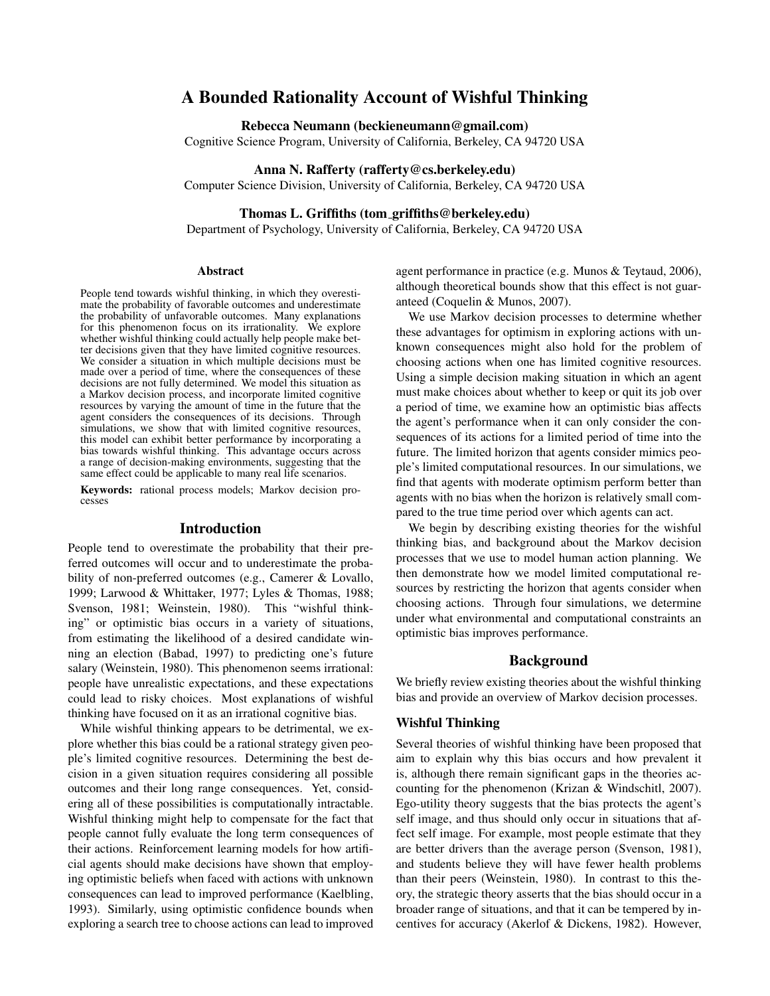# A Bounded Rationality Account of Wishful Thinking

### Rebecca Neumann (beckieneumann@gmail.com)

Cognitive Science Program, University of California, Berkeley, CA 94720 USA

### Anna N. Rafferty (rafferty@cs.berkeley.edu)

Computer Science Division, University of California, Berkeley, CA 94720 USA

# Thomas L. Griffiths (tom griffiths@berkeley.edu)

Department of Psychology, University of California, Berkeley, CA 94720 USA

#### Abstract

People tend towards wishful thinking, in which they overestimate the probability of favorable outcomes and underestimate the probability of unfavorable outcomes. Many explanations for this phenomenon focus on its irrationality. We explore whether wishful thinking could actually help people make better decisions given that they have limited cognitive resources. We consider a situation in which multiple decisions must be made over a period of time, where the consequences of these decisions are not fully determined. We model this situation as a Markov decision process, and incorporate limited cognitive resources by varying the amount of time in the future that the agent considers the consequences of its decisions. Through simulations, we show that with limited cognitive resources, this model can exhibit better performance by incorporating a bias towards wishful thinking. This advantage occurs across a range of decision-making environments, suggesting that the same effect could be applicable to many real life scenarios.

Keywords: rational process models; Markov decision processes

### Introduction

People tend to overestimate the probability that their preferred outcomes will occur and to underestimate the probability of non-preferred outcomes (e.g., Camerer & Lovallo, 1999; Larwood & Whittaker, 1977; Lyles & Thomas, 1988; Svenson, 1981; Weinstein, 1980). This "wishful thinking" or optimistic bias occurs in a variety of situations, from estimating the likelihood of a desired candidate winning an election (Babad, 1997) to predicting one's future salary (Weinstein, 1980). This phenomenon seems irrational: people have unrealistic expectations, and these expectations could lead to risky choices. Most explanations of wishful thinking have focused on it as an irrational cognitive bias.

While wishful thinking appears to be detrimental, we explore whether this bias could be a rational strategy given people's limited cognitive resources. Determining the best decision in a given situation requires considering all possible outcomes and their long range consequences. Yet, considering all of these possibilities is computationally intractable. Wishful thinking might help to compensate for the fact that people cannot fully evaluate the long term consequences of their actions. Reinforcement learning models for how artificial agents should make decisions have shown that employing optimistic beliefs when faced with actions with unknown consequences can lead to improved performance (Kaelbling, 1993). Similarly, using optimistic confidence bounds when exploring a search tree to choose actions can lead to improved agent performance in practice (e.g. Munos & Teytaud, 2006), although theoretical bounds show that this effect is not guaranteed (Coquelin & Munos, 2007).

We use Markov decision processes to determine whether these advantages for optimism in exploring actions with unknown consequences might also hold for the problem of choosing actions when one has limited cognitive resources. Using a simple decision making situation in which an agent must make choices about whether to keep or quit its job over a period of time, we examine how an optimistic bias affects the agent's performance when it can only consider the consequences of its actions for a limited period of time into the future. The limited horizon that agents consider mimics people's limited computational resources. In our simulations, we find that agents with moderate optimism perform better than agents with no bias when the horizon is relatively small compared to the true time period over which agents can act.

We begin by describing existing theories for the wishful thinking bias, and background about the Markov decision processes that we use to model human action planning. We then demonstrate how we model limited computational resources by restricting the horizon that agents consider when choosing actions. Through four simulations, we determine under what environmental and computational constraints an optimistic bias improves performance.

### Background

We briefly review existing theories about the wishful thinking bias and provide an overview of Markov decision processes.

### Wishful Thinking

Several theories of wishful thinking have been proposed that aim to explain why this bias occurs and how prevalent it is, although there remain significant gaps in the theories accounting for the phenomenon (Krizan & Windschitl, 2007). Ego-utility theory suggests that the bias protects the agent's self image, and thus should only occur in situations that affect self image. For example, most people estimate that they are better drivers than the average person (Svenson, 1981), and students believe they will have fewer health problems than their peers (Weinstein, 1980). In contrast to this theory, the strategic theory asserts that the bias should occur in a broader range of situations, and that it can be tempered by incentives for accuracy (Akerlof & Dickens, 1982). However,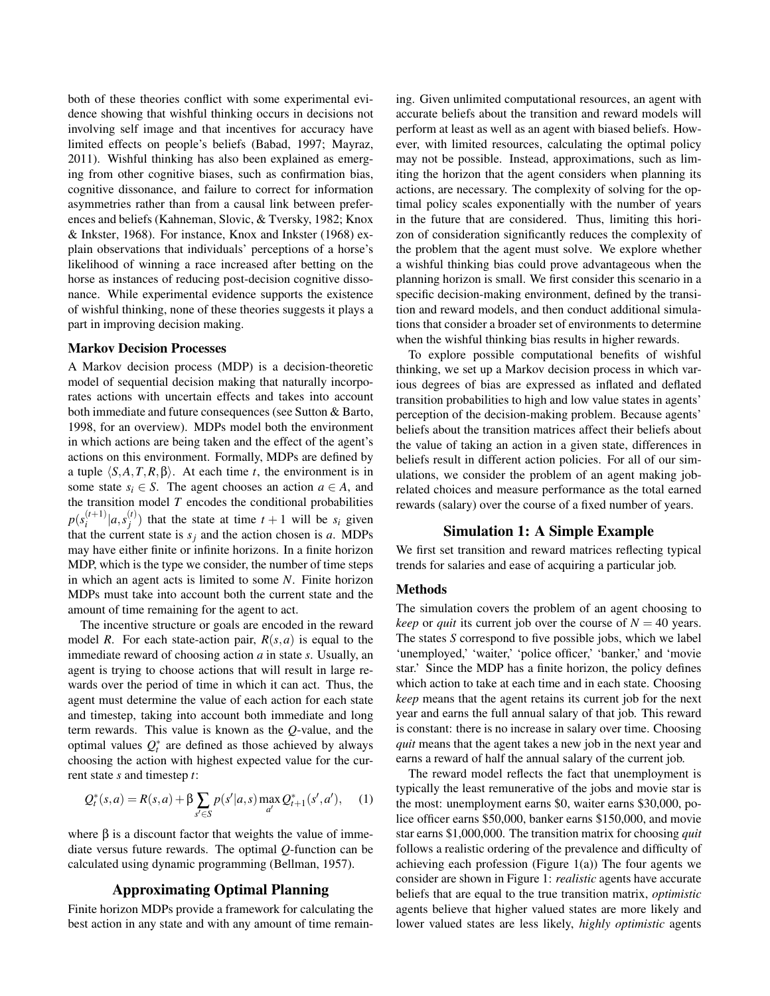both of these theories conflict with some experimental evidence showing that wishful thinking occurs in decisions not involving self image and that incentives for accuracy have limited effects on people's beliefs (Babad, 1997; Mayraz, 2011). Wishful thinking has also been explained as emerging from other cognitive biases, such as confirmation bias, cognitive dissonance, and failure to correct for information asymmetries rather than from a causal link between preferences and beliefs (Kahneman, Slovic, & Tversky, 1982; Knox & Inkster, 1968). For instance, Knox and Inkster (1968) explain observations that individuals' perceptions of a horse's likelihood of winning a race increased after betting on the horse as instances of reducing post-decision cognitive dissonance. While experimental evidence supports the existence of wishful thinking, none of these theories suggests it plays a part in improving decision making.

#### Markov Decision Processes

A Markov decision process (MDP) is a decision-theoretic model of sequential decision making that naturally incorporates actions with uncertain effects and takes into account both immediate and future consequences (see Sutton & Barto, 1998, for an overview). MDPs model both the environment in which actions are being taken and the effect of the agent's actions on this environment. Formally, MDPs are defined by a tuple  $\langle S, A, T, R, \beta \rangle$ . At each time *t*, the environment is in some state  $s_i \in S$ . The agent chooses an action  $a \in A$ , and the transition model  $T$  encodes the conditional probabilities  $p(s_i^{(t+1)}$  $\binom{(t+1)}{i}$   $[a, s]$ <sup>(t)</sup>  $j^{(t)}$  that the state at time  $t + 1$  will be  $s_i$  given that the current state is  $s_j$  and the action chosen is *a*. MDPs may have either finite or infinite horizons. In a finite horizon MDP, which is the type we consider, the number of time steps in which an agent acts is limited to some *N*. Finite horizon MDPs must take into account both the current state and the amount of time remaining for the agent to act.

The incentive structure or goals are encoded in the reward model *R*. For each state-action pair,  $R(s, a)$  is equal to the immediate reward of choosing action *a* in state *s*. Usually, an agent is trying to choose actions that will result in large rewards over the period of time in which it can act. Thus, the agent must determine the value of each action for each state and timestep, taking into account both immediate and long term rewards. This value is known as the *Q*-value, and the optimal values  $Q_t^*$  are defined as those achieved by always choosing the action with highest expected value for the current state *s* and timestep *t*:

$$
Q_t^*(s, a) = R(s, a) + \beta \sum_{s' \in S} p(s'|a, s) \max_{a'} Q_{t+1}^*(s', a'), \quad (1)
$$

where  $\beta$  is a discount factor that weights the value of immediate versus future rewards. The optimal *Q*-function can be calculated using dynamic programming (Bellman, 1957).

### Approximating Optimal Planning

Finite horizon MDPs provide a framework for calculating the best action in any state and with any amount of time remaining. Given unlimited computational resources, an agent with accurate beliefs about the transition and reward models will perform at least as well as an agent with biased beliefs. However, with limited resources, calculating the optimal policy may not be possible. Instead, approximations, such as limiting the horizon that the agent considers when planning its actions, are necessary. The complexity of solving for the optimal policy scales exponentially with the number of years in the future that are considered. Thus, limiting this horizon of consideration significantly reduces the complexity of the problem that the agent must solve. We explore whether a wishful thinking bias could prove advantageous when the planning horizon is small. We first consider this scenario in a specific decision-making environment, defined by the transition and reward models, and then conduct additional simulations that consider a broader set of environments to determine when the wishful thinking bias results in higher rewards.

To explore possible computational benefits of wishful thinking, we set up a Markov decision process in which various degrees of bias are expressed as inflated and deflated transition probabilities to high and low value states in agents' perception of the decision-making problem. Because agents' beliefs about the transition matrices affect their beliefs about the value of taking an action in a given state, differences in beliefs result in different action policies. For all of our simulations, we consider the problem of an agent making jobrelated choices and measure performance as the total earned rewards (salary) over the course of a fixed number of years.

### Simulation 1: A Simple Example

We first set transition and reward matrices reflecting typical trends for salaries and ease of acquiring a particular job.

#### Methods

The simulation covers the problem of an agent choosing to *keep* or *quit* its current job over the course of  $N = 40$  years. The states *S* correspond to five possible jobs, which we label 'unemployed,' 'waiter,' 'police officer,' 'banker,' and 'movie star.' Since the MDP has a finite horizon, the policy defines which action to take at each time and in each state. Choosing *keep* means that the agent retains its current job for the next year and earns the full annual salary of that job. This reward is constant: there is no increase in salary over time. Choosing *quit* means that the agent takes a new job in the next year and earns a reward of half the annual salary of the current job.

The reward model reflects the fact that unemployment is typically the least remunerative of the jobs and movie star is the most: unemployment earns \$0, waiter earns \$30,000, police officer earns \$50,000, banker earns \$150,000, and movie star earns \$1,000,000. The transition matrix for choosing *quit* follows a realistic ordering of the prevalence and difficulty of achieving each profession (Figure  $1(a)$ ) The four agents we consider are shown in Figure 1: *realistic* agents have accurate beliefs that are equal to the true transition matrix, *optimistic* agents believe that higher valued states are more likely and lower valued states are less likely, *highly optimistic* agents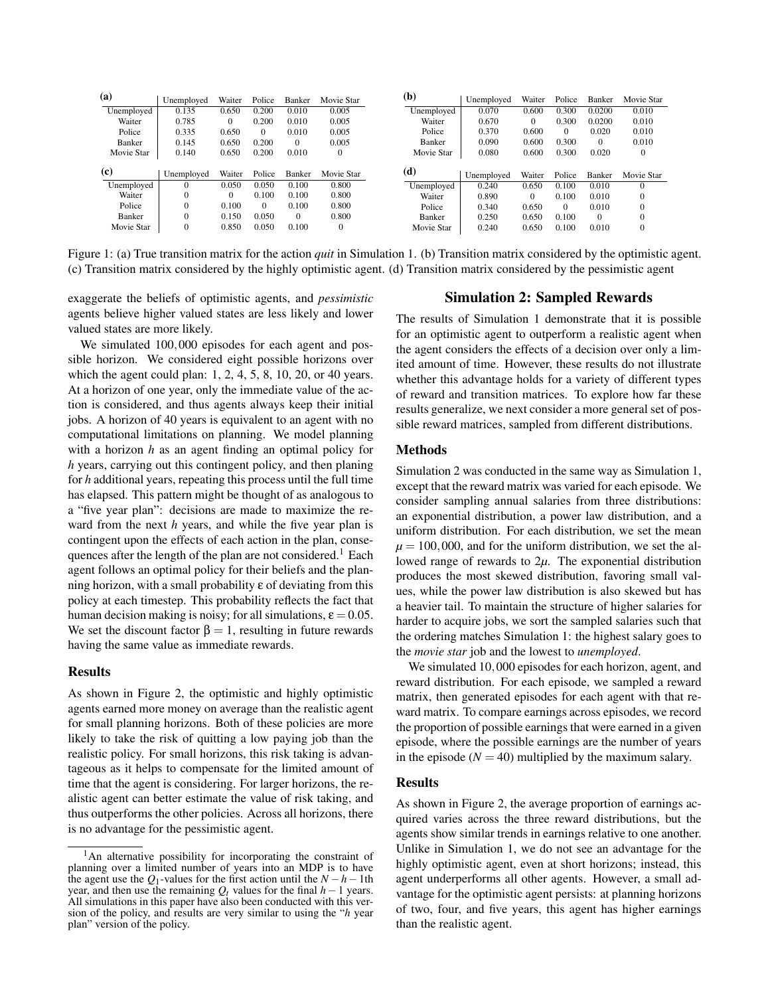| 0.005<br>0.650<br>0.200<br>0.010<br>0.070<br>0.0200<br>0.010<br>0.135<br>Unemployed<br>0.600<br>0.300<br>0.0200<br>0.670<br>0.300<br>0.010<br>$\bf{0}$<br>Waiter<br>0.010<br>0.005<br>Waiter<br>0.785<br>0.200<br>$\overline{0}$<br>0.020<br>0.335<br>0.005<br>0.370<br>0.010<br>Police<br>0.650<br>0.010<br>Police<br>0.600<br>$\overline{0}$<br>$\overline{0}$<br>0.200<br>0.300<br>0.010<br>Banker<br>0.145<br>0.650<br>0.005<br>0.090<br>0.600<br>Banker<br>$\Omega$<br>$\mathbf{0}$<br>0.020<br>Movie Star<br>0.080<br>0.600<br>0.300<br>$\overline{0}$<br>0.140<br>0.200<br>0.010<br>$\overline{0}$<br>0.650<br>(d)<br>Waiter<br>Police<br>Movie Star<br>Banker<br>Waiter<br>Police<br>Unemployed<br>Banker<br>Movie Star<br>Unemployed<br>0.050<br>0.800<br>0.050<br>0.100<br>$\Omega$<br>Unemployed<br>0.240<br>0.650<br>0.100<br>0.010<br>$\Omega$<br>0.100<br>0.800<br>Waiter<br>0.100<br>$\overline{0}$<br>$\Omega$<br>Waiter<br>0.100<br>0.010<br>$\mathbf{0}$<br>0.890<br>$\Omega$<br>0.100<br>0.800<br>Police<br>0.100<br>$\mathbf{0}$<br>$\Omega$<br>0.010<br>$\mathbf{0}$<br>0.340<br>Police<br>0.650<br>$\Omega$<br>0.800<br>0.050<br>Banker<br>0.150<br>$\mathbf{0}$<br>$\Omega$<br>$\mathbf{0}$<br>0.250<br>0.100<br>0.650<br>$\overline{0}$<br>Banker | (a)        | Unemployed | Waiter | Police | Banker | Movie Star | (b) | Unemployed | Waiter | Police | Banker | Movie Star |
|---------------------------------------------------------------------------------------------------------------------------------------------------------------------------------------------------------------------------------------------------------------------------------------------------------------------------------------------------------------------------------------------------------------------------------------------------------------------------------------------------------------------------------------------------------------------------------------------------------------------------------------------------------------------------------------------------------------------------------------------------------------------------------------------------------------------------------------------------------------------------------------------------------------------------------------------------------------------------------------------------------------------------------------------------------------------------------------------------------------------------------------------------------------------------------------------------------------------------------------------------------------------------|------------|------------|--------|--------|--------|------------|-----|------------|--------|--------|--------|------------|
|                                                                                                                                                                                                                                                                                                                                                                                                                                                                                                                                                                                                                                                                                                                                                                                                                                                                                                                                                                                                                                                                                                                                                                                                                                                                           | Unemployed |            |        |        |        |            |     |            |        |        |        |            |
|                                                                                                                                                                                                                                                                                                                                                                                                                                                                                                                                                                                                                                                                                                                                                                                                                                                                                                                                                                                                                                                                                                                                                                                                                                                                           |            |            |        |        |        |            |     |            |        |        |        |            |
|                                                                                                                                                                                                                                                                                                                                                                                                                                                                                                                                                                                                                                                                                                                                                                                                                                                                                                                                                                                                                                                                                                                                                                                                                                                                           |            |            |        |        |        |            |     |            |        |        |        |            |
|                                                                                                                                                                                                                                                                                                                                                                                                                                                                                                                                                                                                                                                                                                                                                                                                                                                                                                                                                                                                                                                                                                                                                                                                                                                                           |            |            |        |        |        |            |     |            |        |        |        |            |
|                                                                                                                                                                                                                                                                                                                                                                                                                                                                                                                                                                                                                                                                                                                                                                                                                                                                                                                                                                                                                                                                                                                                                                                                                                                                           | Movie Star |            |        |        |        |            |     |            |        |        |        |            |
|                                                                                                                                                                                                                                                                                                                                                                                                                                                                                                                                                                                                                                                                                                                                                                                                                                                                                                                                                                                                                                                                                                                                                                                                                                                                           |            |            |        |        |        |            |     |            |        |        |        |            |
|                                                                                                                                                                                                                                                                                                                                                                                                                                                                                                                                                                                                                                                                                                                                                                                                                                                                                                                                                                                                                                                                                                                                                                                                                                                                           | (c)        |            |        |        |        |            |     |            |        |        |        |            |
|                                                                                                                                                                                                                                                                                                                                                                                                                                                                                                                                                                                                                                                                                                                                                                                                                                                                                                                                                                                                                                                                                                                                                                                                                                                                           | Unemployed |            |        |        |        |            |     |            |        |        |        |            |
|                                                                                                                                                                                                                                                                                                                                                                                                                                                                                                                                                                                                                                                                                                                                                                                                                                                                                                                                                                                                                                                                                                                                                                                                                                                                           |            |            |        |        |        |            |     |            |        |        |        |            |
|                                                                                                                                                                                                                                                                                                                                                                                                                                                                                                                                                                                                                                                                                                                                                                                                                                                                                                                                                                                                                                                                                                                                                                                                                                                                           |            |            |        |        |        |            |     |            |        |        |        |            |
| Movie Star<br>0.050<br>0.100<br>$\overline{0}$<br>0.850<br>$\overline{0}$<br>0.010<br>$\mathbf{0}$<br>Movie Star<br>0.240<br>0.100<br>0.650                                                                                                                                                                                                                                                                                                                                                                                                                                                                                                                                                                                                                                                                                                                                                                                                                                                                                                                                                                                                                                                                                                                               |            |            |        |        |        |            |     |            |        |        |        |            |

Figure 1: (a) True transition matrix for the action *keep* in Simulation 1. (b) Transition matrix considered by the optimistic agent. 1: (a) True transition matrix for the action *quit* in Simulation 1. (b) Transition matrix considered by the optimistic agent. Figure 1: (a) True transition matrix for the action *quit* in Simulation 1. (b) Transition matrix considered by the optimistic agent. (c) Transition matrix considered by the highly optimistic agent. (d) Transition matrix considered by the pessimistic agent

exaggerate the beliefs of optimistic agents, and *pessimistic* agents believe higher valued states are less likely and lower valued states are more likely.

We simulated 100,000 episodes for each agent and possible horizon. We considered eight possible horizons over which the agent could plan: 1, 2, 4, 5, 8, 10, 20, or 40 years. At a horizon of one year, only the immediate value of the action is considered, and thus agents always keep their initial jobs. A horizon of 40 years is equivalent to an agent with no computational limitations on planning. We model planning with a horizon *h* as an agent finding an optimal policy for *h* years, carrying out this contingent policy, and then planing for *h* additional years, repeating this process until the full time has elapsed. This pattern might be thought of as analogous to a "five year plan": decisions are made to maximize the reward from the next *h* years, and while the five year plan is contingent upon the effects of each action in the plan, consequences after the length of the plan are not considered.<sup>1</sup> Each agent follows an optimal policy for their beliefs and the planning horizon, with a small probability ε of deviating from this policy at each timestep. This probability reflects the fact that human decision making is noisy; for all simulations,  $\varepsilon = 0.05$ . We set the discount factor  $\beta = 1$ , resulting in future rewards having the same value as immediate rewards.

### Results

As shown in Figure 2, the optimistic and highly optimistic agents earned more money on average than the realistic agent for small planning horizons. Both of these policies are more likely to take the risk of quitting a low paying job than the realistic policy. For small horizons, this risk taking is advantageous as it helps to compensate for the limited amount of time that the agent is considering. For larger horizons, the realistic agent can better estimate the value of risk taking, and thus outperforms the other policies. Across all horizons, there is no advantage for the pessimistic agent.

# Simulation 2: Sampled Rewards

The results of Simulation 1 demonstrate that it is possible for an optimistic agent to outperform a realistic agent when the agent considers the effects of a decision over only a limited amount of time. However, these results do not illustrate whether this advantage holds for a variety of different types of reward and transition matrices. To explore how far these results generalize, we next consider a more general set of possible reward matrices, sampled from different distributions.

### Methods

Simulation 2 was conducted in the same way as Simulation 1, except that the reward matrix was varied for each episode. We consider sampling annual salaries from three distributions: an exponential distribution, a power law distribution, and a uniform distribution. For each distribution, we set the mean  $\mu = 100,000$ , and for the uniform distribution, we set the allowed range of rewards to 2*µ*. The exponential distribution produces the most skewed distribution, favoring small values, while the power law distribution is also skewed but has a heavier tail. To maintain the structure of higher salaries for harder to acquire jobs, we sort the sampled salaries such that the ordering matches Simulation 1: the highest salary goes to the *movie star* job and the lowest to *unemployed*.

We simulated 10,000 episodes for each horizon, agent, and reward distribution. For each episode, we sampled a reward matrix, then generated episodes for each agent with that reward matrix. To compare earnings across episodes, we record the proportion of possible earnings that were earned in a given episode, where the possible earnings are the number of years in the episode  $(N = 40)$  multiplied by the maximum salary.

### Results

As shown in Figure 2, the average proportion of earnings acquired varies across the three reward distributions, but the agents show similar trends in earnings relative to one another. Unlike in Simulation 1, we do not see an advantage for the highly optimistic agent, even at short horizons; instead, this agent underperforms all other agents. However, a small advantage for the optimistic agent persists: at planning horizons of two, four, and five years, this agent has higher earnings than the realistic agent.

 $<sup>1</sup>$ An alternative possibility for incorporating the constraint of</sup> planning over a limited number of years into an MDP is to have the agent use the  $Q_1$ -values for the first action until the  $N - h - 1$ th year, and then use the remaining  $Q_t$  values for the final  $h-1$  years. All simulations in this paper have also been conducted with this version of the policy, and results are very similar to using the "*h* year plan" version of the policy.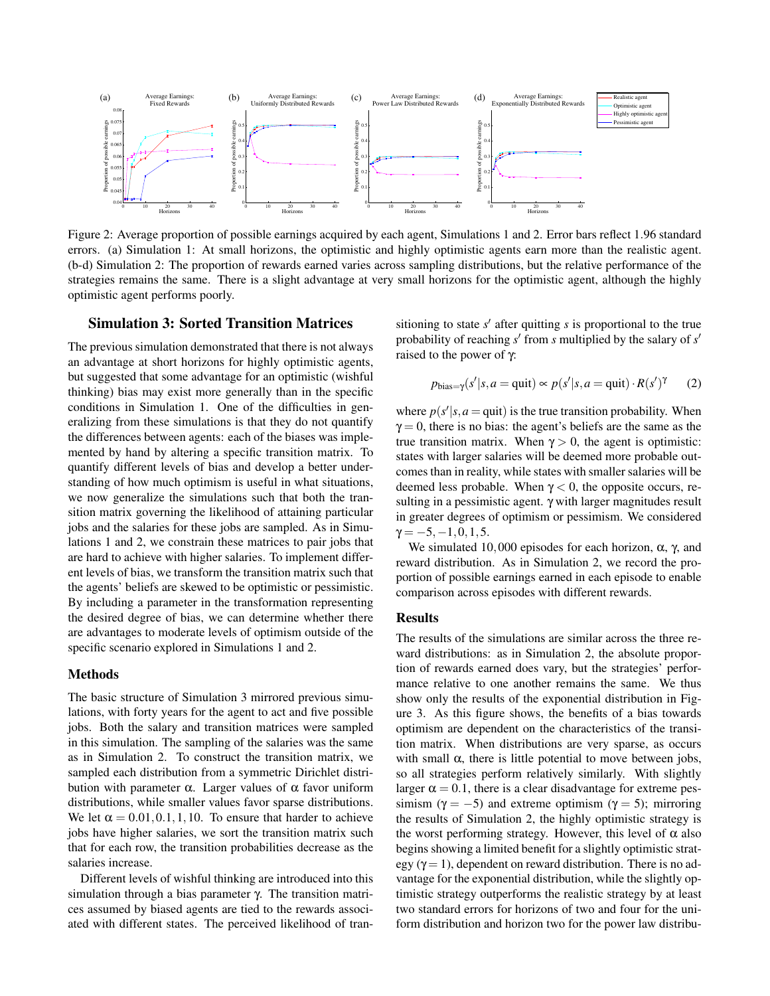

Figure 2: Average proportion of possible earnings acquired by each agent, Simulations 1 and 2. Error bars reflect 1.96 standard errors. (a) Simulation 1: At small horizons, the optimistic and highly optimistic agents earn more than the realistic agent. (b-d) Simulation 2: The proportion of rewards earned varies across sampling distributions, but the relative performance of the strategies remains the same. There is a slight advantage at very small horizons for the optimistic agent, although the highly optimistic agent performs poorly.

### Simulation 3: Sorted Transition Matrices

The previous simulation demonstrated that there is not always an advantage at short horizons for highly optimistic agents, but suggested that some advantage for an optimistic (wishful thinking) bias may exist more generally than in the specific conditions in Simulation 1. One of the difficulties in generalizing from these simulations is that they do not quantify the differences between agents: each of the biases was implemented by hand by altering a specific transition matrix. To quantify different levels of bias and develop a better understanding of how much optimism is useful in what situations, we now generalize the simulations such that both the transition matrix governing the likelihood of attaining particular jobs and the salaries for these jobs are sampled. As in Simulations 1 and 2, we constrain these matrices to pair jobs that are hard to achieve with higher salaries. To implement different levels of bias, we transform the transition matrix such that the agents' beliefs are skewed to be optimistic or pessimistic. By including a parameter in the transformation representing the desired degree of bias, we can determine whether there are advantages to moderate levels of optimism outside of the specific scenario explored in Simulations 1 and 2.

### Methods

The basic structure of Simulation 3 mirrored previous simulations, with forty years for the agent to act and five possible jobs. Both the salary and transition matrices were sampled in this simulation. The sampling of the salaries was the same as in Simulation 2. To construct the transition matrix, we sampled each distribution from a symmetric Dirichlet distribution with parameter α. Larger values of  $α$  favor uniform distributions, while smaller values favor sparse distributions. We let  $\alpha = 0.01, 0.1, 1, 10$ . To ensure that harder to achieve jobs have higher salaries, we sort the transition matrix such that for each row, the transition probabilities decrease as the salaries increase.

Different levels of wishful thinking are introduced into this simulation through a bias parameter γ. The transition matrices assumed by biased agents are tied to the rewards associated with different states. The perceived likelihood of tran-

sitioning to state  $s'$  after quitting  $s$  is proportional to the true probability of reaching *s'* from *s* multiplied by the salary of *s'* raised to the power of γ:

$$
p_{\text{bias}=\gamma}(s'|s, a = \text{quit}) \propto p(s'|s, a = \text{quit}) \cdot R(s')^{\gamma}
$$
 (2)

where  $p(s'|s, a =$ quit) is the true transition probability. When  $\gamma = 0$ , there is no bias: the agent's beliefs are the same as the true transition matrix. When  $\gamma > 0$ , the agent is optimistic: states with larger salaries will be deemed more probable outcomes than in reality, while states with smaller salaries will be deemed less probable. When  $\gamma < 0$ , the opposite occurs, resulting in a pessimistic agent. γ with larger magnitudes result in greater degrees of optimism or pessimism. We considered  $\gamma = -5, -1, 0, 1, 5.$ 

We simulated 10,000 episodes for each horizon,  $\alpha$ ,  $\gamma$ , and reward distribution. As in Simulation 2, we record the proportion of possible earnings earned in each episode to enable comparison across episodes with different rewards.

#### Results

The results of the simulations are similar across the three reward distributions: as in Simulation 2, the absolute proportion of rewards earned does vary, but the strategies' performance relative to one another remains the same. We thus show only the results of the exponential distribution in Figure 3. As this figure shows, the benefits of a bias towards optimism are dependent on the characteristics of the transition matrix. When distributions are very sparse, as occurs with small  $\alpha$ , there is little potential to move between jobs, so all strategies perform relatively similarly. With slightly larger  $\alpha = 0.1$ , there is a clear disadvantage for extreme pessimism ( $\gamma = -5$ ) and extreme optimism ( $\gamma = 5$ ); mirroring the results of Simulation 2, the highly optimistic strategy is the worst performing strategy. However, this level of  $\alpha$  also begins showing a limited benefit for a slightly optimistic strategy ( $\gamma = 1$ ), dependent on reward distribution. There is no advantage for the exponential distribution, while the slightly optimistic strategy outperforms the realistic strategy by at least two standard errors for horizons of two and four for the uniform distribution and horizon two for the power law distribu-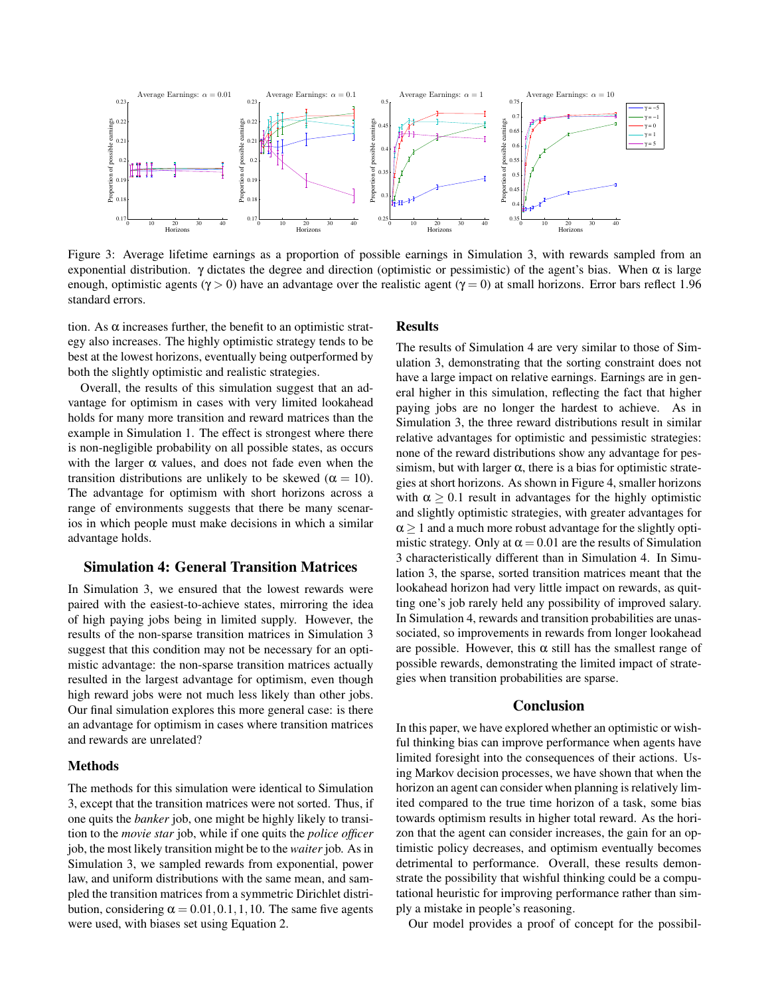

Figure 3: Average lifetime earnings as a proportion of possible earnings in Simulation 3, with rewards sampled from an exponential distribution. γ dictates the degree and direction (optimistic or pessimistic) of the agent's bias. When  $\alpha$  is large enough, optimistic agents ( $\gamma > 0$ ) have an advantage over the realistic agent ( $\gamma = 0$ ) at small horizons. Error bars reflect 1.96 standard errors.

tion. As  $\alpha$  increases further, the benefit to an optimistic strategy also increases. The highly optimistic strategy tends to be best at the lowest horizons, eventually being outperformed by both the slightly optimistic and realistic strategies.

Overall, the results of this simulation suggest that an advantage for optimism in cases with very limited lookahead holds for many more transition and reward matrices than the example in Simulation 1. The effect is strongest where there is non-negligible probability on all possible states, as occurs with the larger  $\alpha$  values, and does not fade even when the transition distributions are unlikely to be skewed ( $\alpha = 10$ ). The advantage for optimism with short horizons across a range of environments suggests that there be many scenarios in which people must make decisions in which a similar advantage holds.

# Simulation 4: General Transition Matrices

In Simulation 3, we ensured that the lowest rewards were paired with the easiest-to-achieve states, mirroring the idea of high paying jobs being in limited supply. However, the results of the non-sparse transition matrices in Simulation 3 suggest that this condition may not be necessary for an optimistic advantage: the non-sparse transition matrices actually resulted in the largest advantage for optimism, even though high reward jobs were not much less likely than other jobs. Our final simulation explores this more general case: is there an advantage for optimism in cases where transition matrices and rewards are unrelated?

### Methods

The methods for this simulation were identical to Simulation 3, except that the transition matrices were not sorted. Thus, if one quits the *banker* job, one might be highly likely to transition to the *movie star* job, while if one quits the *police officer* job, the most likely transition might be to the *waiter* job. As in Simulation 3, we sampled rewards from exponential, power law, and uniform distributions with the same mean, and sampled the transition matrices from a symmetric Dirichlet distribution, considering  $\alpha = 0.01, 0.1, 1, 10$ . The same five agents were used, with biases set using Equation 2.

# Results

The results of Simulation 4 are very similar to those of Simulation 3, demonstrating that the sorting constraint does not have a large impact on relative earnings. Earnings are in general higher in this simulation, reflecting the fact that higher paying jobs are no longer the hardest to achieve. As in Simulation 3, the three reward distributions result in similar relative advantages for optimistic and pessimistic strategies: none of the reward distributions show any advantage for pessimism, but with larger  $\alpha$ , there is a bias for optimistic strategies at short horizons. As shown in Figure 4, smaller horizons with  $\alpha \geq 0.1$  result in advantages for the highly optimistic and slightly optimistic strategies, with greater advantages for  $\alpha$  > 1 and a much more robust advantage for the slightly optimistic strategy. Only at  $\alpha = 0.01$  are the results of Simulation 3 characteristically different than in Simulation 4. In Simulation 3, the sparse, sorted transition matrices meant that the lookahead horizon had very little impact on rewards, as quitting one's job rarely held any possibility of improved salary. In Simulation 4, rewards and transition probabilities are unassociated, so improvements in rewards from longer lookahead are possible. However, this  $\alpha$  still has the smallest range of possible rewards, demonstrating the limited impact of strategies when transition probabilities are sparse.

### **Conclusion**

In this paper, we have explored whether an optimistic or wishful thinking bias can improve performance when agents have limited foresight into the consequences of their actions. Using Markov decision processes, we have shown that when the horizon an agent can consider when planning is relatively limited compared to the true time horizon of a task, some bias towards optimism results in higher total reward. As the horizon that the agent can consider increases, the gain for an optimistic policy decreases, and optimism eventually becomes detrimental to performance. Overall, these results demonstrate the possibility that wishful thinking could be a computational heuristic for improving performance rather than simply a mistake in people's reasoning.

Our model provides a proof of concept for the possibil-